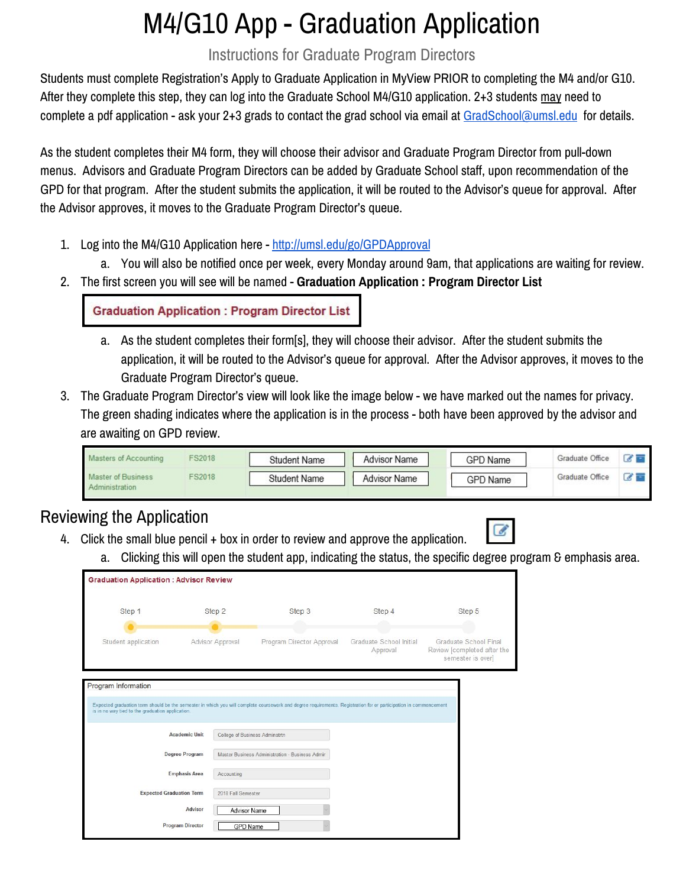# M4/G10 App - Graduation Application

### Instructions for Graduate Program Directors

Students must complete Registration's Apply to Graduate Application in MyView PRIOR to completing the M4 and/or G10. After they complete this step, they can log into the Graduate School M4/G10 application. 2+3 students may need to complete a pdf application - ask your 2+3 grads to contact the grad school via email at [GradSchool@umsl.edu](mailto:GradSchool@umsl.edu) for details.

As the student completes their M4 form, they will choose their advisor and Graduate Program Director from pull-down menus. Advisors and Graduate Program Directors can be added by Graduate School staff, upon recommendation of the GPD for that program. After the student submits the application, it will be routed to the Advisor's queue for approval. After the Advisor approves, it moves to the Graduate Program Director's queue.

- 1. Log into the M4/G10 Application here <http://umsl.edu/go/GPDApproval>
	- a. You will also be notified once per week, every Monday around 9am, that applications are waiting for review.
- 2. The first screen you will see will be named **Graduation Application : Program Director List**

**Graduation Application: Program Director List** 

- a. As the student completes their form[s], they will choose their advisor. After the student submits the application, it will be routed to the Advisor's queue for approval. After the Advisor approves, it moves to the Graduate Program Director's queue.
- 3. The Graduate Program Director's view will look like the image below we have marked out the names for privacy. The green shading indicates where the application is in the process - both have been approved by the advisor and are awaiting on GPD review.

| Masters of Accounting                       | <b>FS2018</b> | Student Name        | <b>Advisor Name</b> | GPD Name        | Graduate Office |  |
|---------------------------------------------|---------------|---------------------|---------------------|-----------------|-----------------|--|
| <b>Master of Business</b><br>Administration | <b>FS2018</b> | <b>Student Name</b> | <b>Advisor Name</b> | <b>GPD Name</b> | Graduate Office |  |

## Reviewing the Application

- 4. Click the small blue pencil + box in order to review and approve the application.
- $\epsilon$
- a. Clicking this will open the student app, indicating the status, the specific degree program & emphasis area.

| Step 1                                           |                       | Step 2              | Step 3                                                                                                                                                           | Step 4                              | Step 5                                                                    |
|--------------------------------------------------|-----------------------|---------------------|------------------------------------------------------------------------------------------------------------------------------------------------------------------|-------------------------------------|---------------------------------------------------------------------------|
|                                                  |                       |                     |                                                                                                                                                                  |                                     |                                                                           |
| Student application                              |                       | Advisor Approval    | Program Director Approval                                                                                                                                        | Graduate School Initial<br>Approval | Graduate School Final<br>Review [completed after the<br>semester is over] |
| Program Information                              |                       |                     |                                                                                                                                                                  |                                     |                                                                           |
| is in no way tied to the graduation application. |                       |                     | Expected graduation term should be the semester in which you will complete coursework and degree requirements. Registration for or participation in commencement |                                     |                                                                           |
|                                                  | <b>Academic Unit</b>  |                     | College of Business Adminstrtn                                                                                                                                   |                                     |                                                                           |
|                                                  | <b>Degree Program</b> |                     | Master Business Administration - Business Admin                                                                                                                  |                                     |                                                                           |
|                                                  | <b>Emphasis Area</b>  | Accounting          |                                                                                                                                                                  |                                     |                                                                           |
| <b>Expected Graduation Term</b>                  |                       | 2018 Fall Semester  |                                                                                                                                                                  |                                     |                                                                           |
|                                                  | Advisor               | <b>Advisor Name</b> |                                                                                                                                                                  |                                     |                                                                           |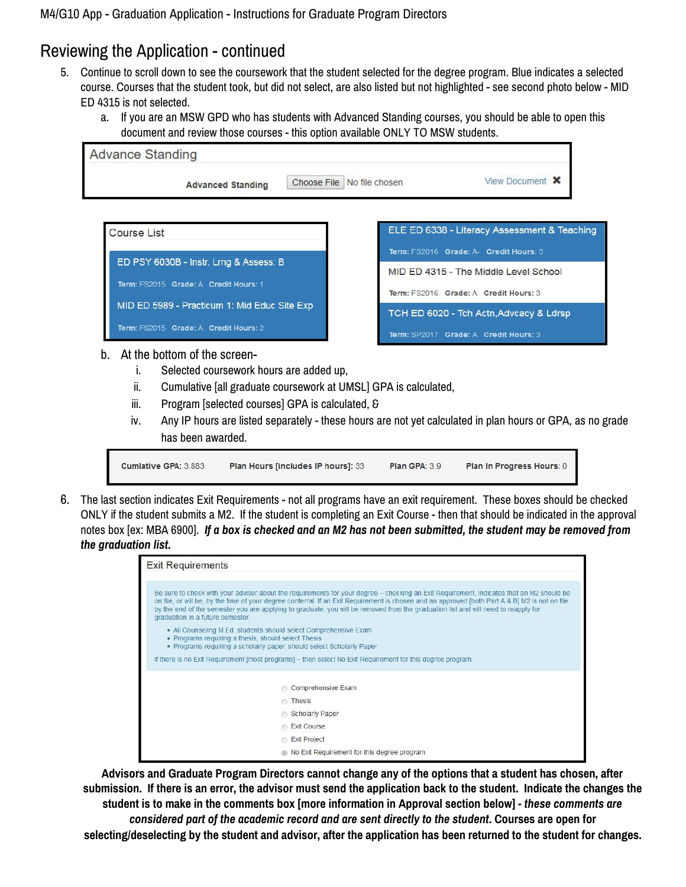# Reviewing the Application - continued

- 5. Continue to scroll down to see the coursework that the student selected for the degree program. Blue indicates a selected course. Courses that the student took, but did not select, are also listed but not highlighted - see second photo below - MID ED 4315 is not selected.
	- a. If you are an MSW GPD who has students with Advanced Standing courses, you should be able to open this document and review those courses - this option available ONLY TO MSW students.



- b. At the bottom of the screen
	- i. Selected coursework hours are added up,
	- ii. Cumulative [all graduate coursework at UMSL] GPA is calculated,
	- iii. Program [selected courses] GPA is calculated, &
	- iv. Any IP hours are listed separately these hours are not yet calculated in plan hours or GPA, as no grade has been awarded.



6. The last section indicates Exit Requirements - not all programs have an exit requirement. These boxes should be checked ONLY if the student submits a M2. If the student is completing an Exit Course - then that should be indicated in the approval notes box [ex: MBA 6900]. If a box is checked and an M2 has not been submitted, the student may be removed from *the graduation list.*



**Advisors and Graduate Program Directors cannot change any of the options that a student has chosen, after** submission. If there is an error, the advisor must send the application back to the student. Indicate the changes the student is to make in the comments box [more information in Approval section below] - these comments are *considered part of the academic record and are sent directly to the student***. Courses are open for** selecting/deselecting by the student and advisor, after the application has been returned to the student for changes.